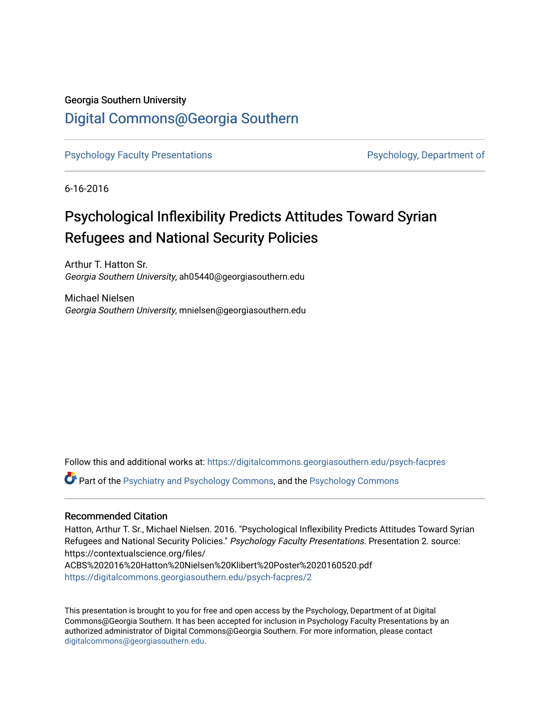#### Georgia Southern University

#### [Digital Commons@Georgia Southern](https://digitalcommons.georgiasouthern.edu/)

[Psychology Faculty Presentations](https://digitalcommons.georgiasouthern.edu/psych-facpres) **Property Property** Psychology, Department of

6-16-2016

### Psychological Inflexibility Predicts Attitudes Toward Syrian Refugees and National Security Policies

Arthur T. Hatton Sr. Georgia Southern University, ah05440@georgiasouthern.edu

Michael Nielsen Georgia Southern University, mnielsen@georgiasouthern.edu

Follow this and additional works at: [https://digitalcommons.georgiasouthern.edu/psych-facpres](https://digitalcommons.georgiasouthern.edu/psych-facpres?utm_source=digitalcommons.georgiasouthern.edu%2Fpsych-facpres%2F2&utm_medium=PDF&utm_campaign=PDFCoverPages)

Part of the [Psychiatry and Psychology Commons,](http://network.bepress.com/hgg/discipline/908?utm_source=digitalcommons.georgiasouthern.edu%2Fpsych-facpres%2F2&utm_medium=PDF&utm_campaign=PDFCoverPages) and the [Psychology Commons](http://network.bepress.com/hgg/discipline/404?utm_source=digitalcommons.georgiasouthern.edu%2Fpsych-facpres%2F2&utm_medium=PDF&utm_campaign=PDFCoverPages)

#### Recommended Citation

Hatton, Arthur T. Sr., Michael Nielsen. 2016. "Psychological Inflexibility Predicts Attitudes Toward Syrian Refugees and National Security Policies." Psychology Faculty Presentations. Presentation 2. source: https://contextualscience.org/files/

ACBS%202016%20Hatton%20Nielsen%20Klibert%20Poster%2020160520.pdf [https://digitalcommons.georgiasouthern.edu/psych-facpres/2](https://digitalcommons.georgiasouthern.edu/psych-facpres/2?utm_source=digitalcommons.georgiasouthern.edu%2Fpsych-facpres%2F2&utm_medium=PDF&utm_campaign=PDFCoverPages)

This presentation is brought to you for free and open access by the Psychology, Department of at Digital Commons@Georgia Southern. It has been accepted for inclusion in Psychology Faculty Presentations by an authorized administrator of Digital Commons@Georgia Southern. For more information, please contact [digitalcommons@georgiasouthern.edu.](mailto:digitalcommons@georgiasouthern.edu)